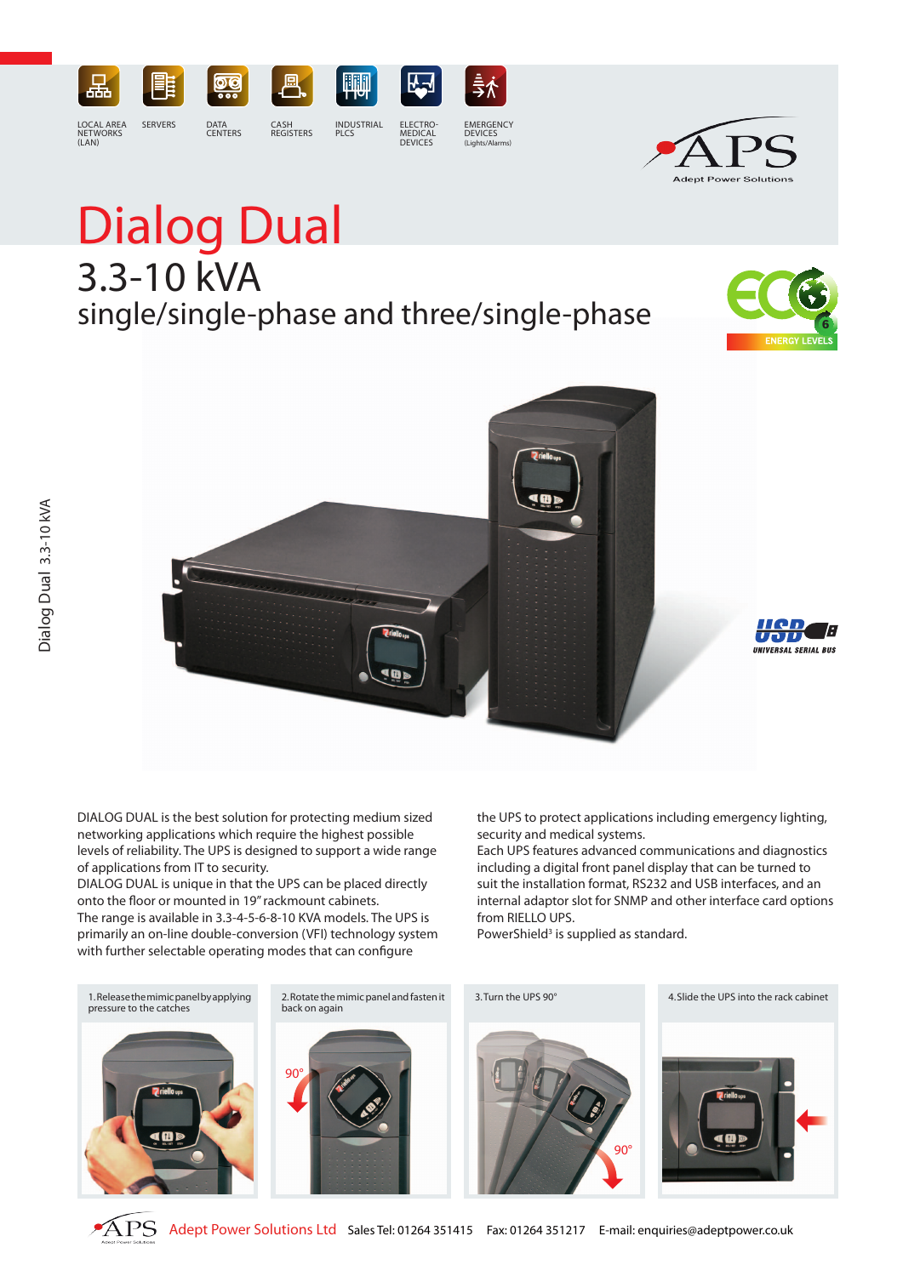

# Dialog Dual single/single-phase and three/single-phase 3.3-10 kVA



**Adept Power Solutions** 





DIALOG DUAL is the best solution for protecting medium sized networking applications which require the highest possible levels of reliability. The UPS is designed to support a wide range of applications from IT to security.

DIALOG DUAL is unique in that the UPS can be placed directly onto the floor or mounted in 19" rackmount cabinets. The range is available in 3.3-4-5-6-8-10 KVA models. The UPS is primarily an on-line double-conversion (VFI) technology system with further selectable operating modes that can configure

the UPS to protect applications including emergency lighting, security and medical systems.

Each UPS features advanced communications and diagnostics including a digital front panel display that can be turned to suit the installation format, RS232 and USB interfaces, and an internal adaptor slot for SNMP and other interface card options from RIELLO UPS.

PowerShield<sup>3</sup> is supplied as standard.



APS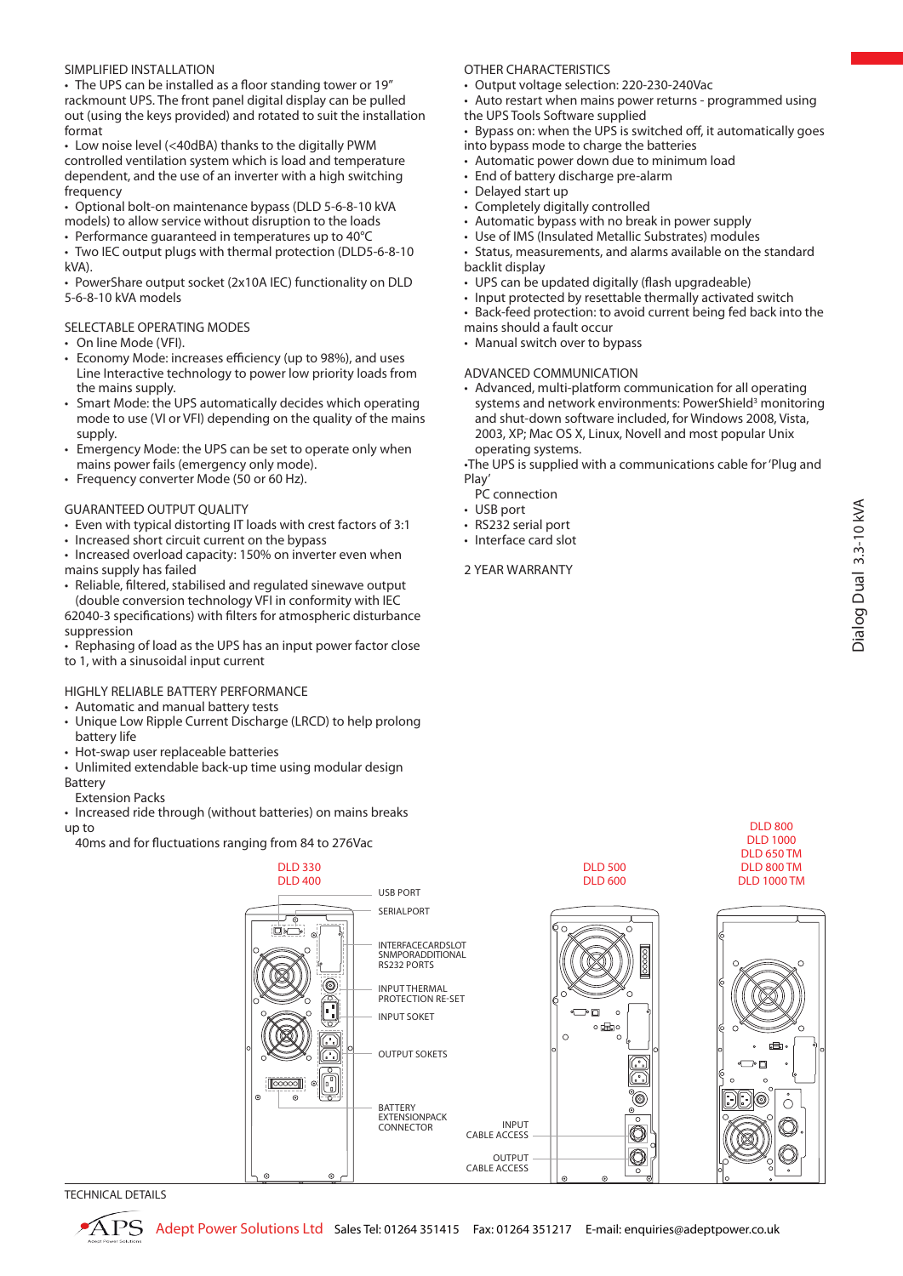## SIMPLIFIED INSTALLATION

• The UPS can be installed as a floor standing tower or 19" rackmount UPS. The front panel digital display can be pulled out (using the keys provided) and rotated to suit the installation format

• Low noise level (<40dBA) thanks to the digitally PWM controlled ventilation system which is load and temperature dependent, and the use of an inverter with a high switching frequency

• Optional bolt-on maintenance bypass (DLD 5-6-8-10 kVA models) to allow service without disruption to the loads

• Performance quaranteed in temperatures up to 40°C

• Two IEC output plugs with thermal protection (DLD5-6-8-10 kVA).

• PowerShare output socket (2x10A IEC) functionality on DLD 5-6-8-10 kVA models

## SELECTABLE OPERATING MODES

- • On line Mode (VFI).
- • Economy Mode: increases efficiency (up to 98%), and uses Line Interactive technology to power low priority loads from the mains supply.
- Smart Mode: the UPS automatically decides which operating mode to use (VI or VFI) depending on the quality of the mains supply.
- Emergency Mode: the UPS can be set to operate only when mains power fails (emergency only mode).
- Frequency converter Mode (50 or 60 Hz).

# GUARANTEED OUTPUT QUALITY

- Even with typical distorting IT loads with crest factors of 3:1
- Increased short circuit current on the bypass

• Increased overload capacity: 150% on inverter even when mains supply has failed

• Reliable, filtered, stabilised and regulated sinewave output (double conversion technology VFI in conformity with IEC 62040-3 specifications) with filters for atmospheric disturbance suppression

• Rephasing of load as the UPS has an input power factor close to 1, with a sinusoidal input current

# HIGHLY RELIABLE BATTERY PERFORMANCE

- • Automatic and manual battery tests
- Unique Low Ripple Current Discharge (LRCD) to help prolong battery life
- Hot-swap user replaceable batteries
- Unlimited extendable back-up time using modular design Battery

Extension Packs

• Increased ride through (without batteries) on mains breaks up to

40ms and for fluctuations ranging from 84 to 276Vac

## OTHER CHARACTERISTICS

- Output voltage selection: 220-230-240Vac
- Auto restart when mains power returns programmed using the UPS Tools Software supplied
- Bypass on: when the UPS is switched off, it automatically goes into bypass mode to charge the batteries
- Automatic power down due to minimum load
- End of battery discharge pre-alarm
- Delayed start up
- • Completely digitally controlled
- Automatic bypass with no break in power supply
- Use of IMS (Insulated Metallic Substrates) modules
- Status, measurements, and alarms available on the standard backlit display
- UPS can be updated digitally (flash upgradeable)
- Input protected by resettable thermally activated switch
- Back-feed protection: to avoid current being fed back into the
- mains should a fault occur
- Manual switch over to bypass

## ADVANCED COMMUNICATION

• Advanced, multi-platform communication for all operating systems and network environments: PowerShield<sup>3</sup> monitoring and shut-down software included, for Windows 2008, Vista, 2003, XP; Mac OS X, Linux, Novell and most popular Unix operating systems.

•The UPS is supplied with a communications cable for 'Plug and Play'

- PC connection
- USB port
- RS232 serial port
- Interface card slot

#### 2 YEAR WARRANTY



TECHNICAL DETAILS

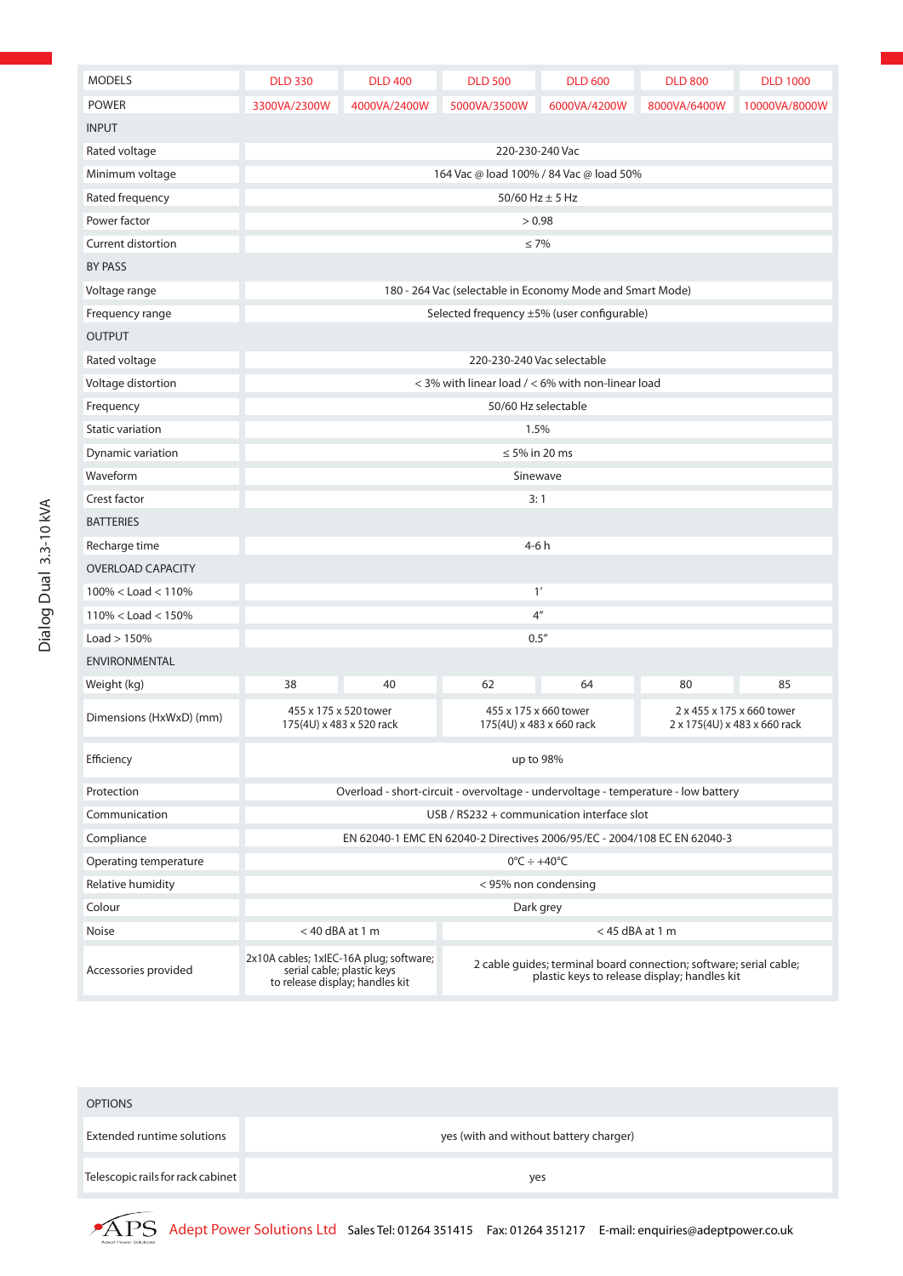| <b>MODELS</b>             | <b>DLD 330</b>                                                                    | <b>DLD 400</b>                                                | <b>DLD 500</b>                                                                                                     | <b>DLD 600</b> | <b>DLD 800</b> | <b>DLD 1000</b> |  |
|---------------------------|-----------------------------------------------------------------------------------|---------------------------------------------------------------|--------------------------------------------------------------------------------------------------------------------|----------------|----------------|-----------------|--|
| <b>POWER</b>              | 3300VA/2300W                                                                      | 4000VA/2400W                                                  | 5000VA/3500W                                                                                                       | 6000VA/4200W   | 8000VA/6400W   | 10000VA/8000W   |  |
| <b>INPUT</b>              |                                                                                   |                                                               |                                                                                                                    |                |                |                 |  |
| Rated voltage             | 220-230-240 Vac                                                                   |                                                               |                                                                                                                    |                |                |                 |  |
| Minimum voltage           | 164 Vac @ load 100% / 84 Vac @ load 50%                                           |                                                               |                                                                                                                    |                |                |                 |  |
| Rated frequency           | $50/60$ Hz $\pm$ 5 Hz                                                             |                                                               |                                                                                                                    |                |                |                 |  |
| Power factor              | > 0.98                                                                            |                                                               |                                                                                                                    |                |                |                 |  |
| <b>Current distortion</b> | $\leq 7\%$                                                                        |                                                               |                                                                                                                    |                |                |                 |  |
| BY PASS                   |                                                                                   |                                                               |                                                                                                                    |                |                |                 |  |
| Voltage range             | 180 - 264 Vac (selectable in Economy Mode and Smart Mode)                         |                                                               |                                                                                                                    |                |                |                 |  |
| Frequency range           |                                                                                   | Selected frequency ±5% (user configurable)                    |                                                                                                                    |                |                |                 |  |
| <b>OUTPUT</b>             |                                                                                   |                                                               |                                                                                                                    |                |                |                 |  |
| Rated voltage             | 220-230-240 Vac selectable                                                        |                                                               |                                                                                                                    |                |                |                 |  |
| Voltage distortion        | $<$ 3% with linear load $/$ < 6% with non-linear load                             |                                                               |                                                                                                                    |                |                |                 |  |
| Frequency                 | 50/60 Hz selectable                                                               |                                                               |                                                                                                                    |                |                |                 |  |
| Static variation          | 1.5%                                                                              |                                                               |                                                                                                                    |                |                |                 |  |
| Dynamic variation         | $\leq$ 5% in 20 ms                                                                |                                                               |                                                                                                                    |                |                |                 |  |
| Waveform                  | Sinewave                                                                          |                                                               |                                                                                                                    |                |                |                 |  |
| Crest factor              | 3:1                                                                               |                                                               |                                                                                                                    |                |                |                 |  |
| <b>BATTERIES</b>          |                                                                                   |                                                               |                                                                                                                    |                |                |                 |  |
| Recharge time             | $4-6h$                                                                            |                                                               |                                                                                                                    |                |                |                 |  |
| <b>OVERLOAD CAPACITY</b>  |                                                                                   |                                                               |                                                                                                                    |                |                |                 |  |
| $100\% <$ Load $<$ 110%   | 1'                                                                                |                                                               |                                                                                                                    |                |                |                 |  |
| $110\% <$ Load $<$ 150%   | 4 <sup>''</sup>                                                                   |                                                               |                                                                                                                    |                |                |                 |  |
| Load > 150%               | 0.5''                                                                             |                                                               |                                                                                                                    |                |                |                 |  |
| <b>ENVIRONMENTAL</b>      |                                                                                   |                                                               |                                                                                                                    |                |                |                 |  |
| Weight (kg)               | 38                                                                                | 40                                                            | 62                                                                                                                 | 64             | 80             | 85              |  |
| Dimensions (HxWxD) (mm)   | 455 x 175 x 520 tower<br>175(4U) x 483 x 520 rack                                 |                                                               | 455 x 175 x 660 tower<br>2 x 455 x 175 x 660 tower<br>175(4U) x 483 x 660 rack<br>2 x 175(4U) x 483 x 660 rack     |                |                |                 |  |
| Efficiency                | up to 98%                                                                         |                                                               |                                                                                                                    |                |                |                 |  |
| Protection                | Overload - short-circuit - overvoltage - undervoltage - temperature - low battery |                                                               |                                                                                                                    |                |                |                 |  |
| Communication             | USB / RS232 + communication interface slot                                        |                                                               |                                                                                                                    |                |                |                 |  |
| Compliance                | EN 62040-1 EMC EN 62040-2 Directives 2006/95/EC - 2004/108 EC EN 62040-3          |                                                               |                                                                                                                    |                |                |                 |  |
| Operating temperature     | $0^{\circ}$ C ÷ +40 $^{\circ}$ C                                                  |                                                               |                                                                                                                    |                |                |                 |  |
| Relative humidity         | < 95% non condensing                                                              |                                                               |                                                                                                                    |                |                |                 |  |
| Colour                    | Dark grey                                                                         |                                                               |                                                                                                                    |                |                |                 |  |
| Noise                     | $<$ 40 dBA at 1 m                                                                 |                                                               | $<$ 45 dBA at 1 m                                                                                                  |                |                |                 |  |
| Accessories provided      | 2x10A cables; 1xIEC-16A plug; software;                                           | serial cable; plastic keys<br>to release display; handles kit | 2 cable guides; terminal board connection; software; serial cable;<br>plastic keys to release display; handles kit |                |                |                 |  |

| <b>OPTIONS</b>                    |                                        |
|-----------------------------------|----------------------------------------|
| <b>Extended runtime solutions</b> | yes (with and without battery charger) |
| Telescopic rails for rack cabinet | yes                                    |